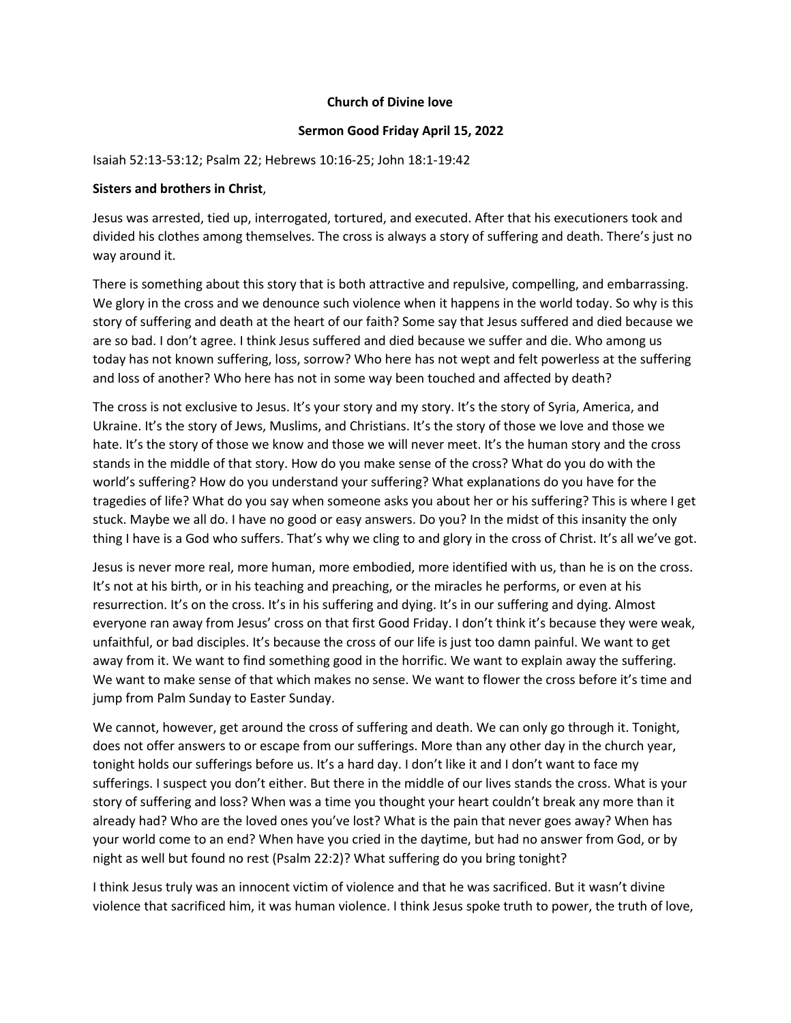## **Church of Divine love**

## **Sermon Good Friday April 15, 2022**

## Isaiah 52:13-53:12; Psalm 22; Hebrews 10:16-25; John 18:1-19:42

## **Sisters and brothers in Christ**,

Jesus was arrested, tied up, interrogated, tortured, and executed. After that his executioners took and divided his clothes among themselves. The cross is always a story of suffering and death. There's just no way around it.

There is something about this story that is both attractive and repulsive, compelling, and embarrassing. We glory in the cross and we denounce such violence when it happens in the world today. So why is this story of suffering and death at the heart of our faith? Some say that Jesus suffered and died because we are so bad. I don't agree. I think Jesus suffered and died because we suffer and die. Who among us today has not known suffering, loss, sorrow? Who here has not wept and felt powerless at the suffering and loss of another? Who here has not in some way been touched and affected by death?

The cross is not exclusive to Jesus. It's your story and my story. It's the story of Syria, America, and Ukraine. It's the story of Jews, Muslims, and Christians. It's the story of those we love and those we hate. It's the story of those we know and those we will never meet. It's the human story and the cross stands in the middle of that story. How do you make sense of the cross? What do you do with the world's suffering? How do you understand your suffering? What explanations do you have for the tragedies of life? What do you say when someone asks you about her or his suffering? This is where I get stuck. Maybe we all do. I have no good or easy answers. Do you? In the midst of this insanity the only thing I have is a God who suffers. That's why we cling to and glory in the cross of Christ. It's all we've got.

Jesus is never more real, more human, more embodied, more identified with us, than he is on the cross. It's not at his birth, or in his teaching and preaching, or the miracles he performs, or even at his resurrection. It's on the cross. It's in his suffering and dying. It's in our suffering and dying. Almost everyone ran away from Jesus' cross on that first Good Friday. I don't think it's because they were weak, unfaithful, or bad disciples. It's because the cross of our life is just too damn painful. We want to get away from it. We want to find something good in the horrific. We want to explain away the suffering. We want to make sense of that which makes no sense. We want to flower the cross before it's time and jump from Palm Sunday to Easter Sunday.

We cannot, however, get around the cross of suffering and death. We can only go through it. Tonight, does not offer answers to or escape from our sufferings. More than any other day in the church year, tonight holds our sufferings before us. It's a hard day. I don't like it and I don't want to face my sufferings. I suspect you don't either. But there in the middle of our lives stands the cross. What is your story of suffering and loss? When was a time you thought your heart couldn't break any more than it already had? Who are the loved ones you've lost? What is the pain that never goes away? When has your world come to an end? When have you cried in the daytime, but had no answer from God, or by night as well but found no rest (Psalm 22:2)? What suffering do you bring tonight?

I think Jesus truly was an innocent victim of violence and that he was sacrificed. But it wasn't divine violence that sacrificed him, it was human violence. I think Jesus spoke truth to power, the truth of love,